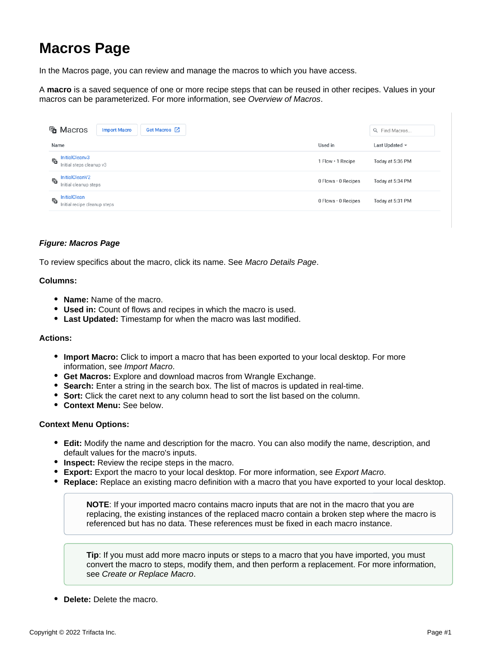# **Macros Page**

In the Macros page, you can review and manage the macros to which you have access.

A **macro** is a saved sequence of one or more recipe steps that can be reused in other recipes. Values in your macros can be parameterized. For more information, see [Overview of Macros](https://docs.trifacta.com/display/AWS/Overview+of+Macros).

| <b>To</b> Macros                                         | Get Macros Z<br><b>Import Macro</b> |                             | Q Find Macros       |
|----------------------------------------------------------|-------------------------------------|-----------------------------|---------------------|
| Name                                                     |                                     | Used in                     | Last Updated $\sim$ |
| <b>InitialCleanv3</b><br>侗<br>Initial steps cleanup v3   |                                     | 1 Flow . 1 Recipe           | Today at 5:36 PM    |
| InitialCleanV2<br>侗<br>Initial cleanup steps             |                                     | $0$ Flows $\cdot$ 0 Recipes | Today at 5:34 PM    |
| <b>InitialClean</b><br>后<br>Initial recipe cleanup steps |                                     | $0$ Flows $\cdot$ 0 Recipes | Today at 5:31 PM    |

## **Figure: Macros Page**

To review specifics about the macro, click its name. See [Macro Details Page](https://docs.trifacta.com/display/AWS/Macro+Details+Page).

### **Columns:**

- **Name:** Name of the macro.
- **Used in:** Count of flows and recipes in which the macro is used.
- **Last Updated:** Timestamp for when the macro was last modified.

### **Actions:**

- **Import Macro:** Click to import a macro that has been exported to your local desktop. For more information, see [Import Macro](https://docs.trifacta.com/display/AWS/Import+Macro).
- **Get Macros:** Explore and download macros from Wrangle Exchange.
- **Search:** Enter a string in the search box. The list of macros is updated in real-time.
- **Sort:** Click the caret next to any column head to sort the list based on the column.
- **Context Menu:** See below.

### **Context Menu Options:**

- **Edit:** Modify the name and description for the macro. You can also modify the name, description, and default values for the macro's inputs.
- **Inspect:** Review the recipe steps in the macro.
- **Export:** Export the macro to your local desktop. For more information, see [Export Macro](https://docs.trifacta.com/display/AWS/Export+Macro).
- **Replace:** Replace an existing macro definition with a macro that you have exported to your local desktop.

**NOTE**: If your imported macro contains macro inputs that are not in the macro that you are replacing, the existing instances of the replaced macro contain a broken step where the macro is referenced but has no data. These references must be fixed in each macro instance.

**Tip**: If you must add more macro inputs or steps to a macro that you have imported, you must convert the macro to steps, modify them, and then perform a replacement. For more information, see [Create or Replace Macro](https://docs.trifacta.com/display/AWS/Create+or+Replace+Macro).

**Delete:** Delete the macro.